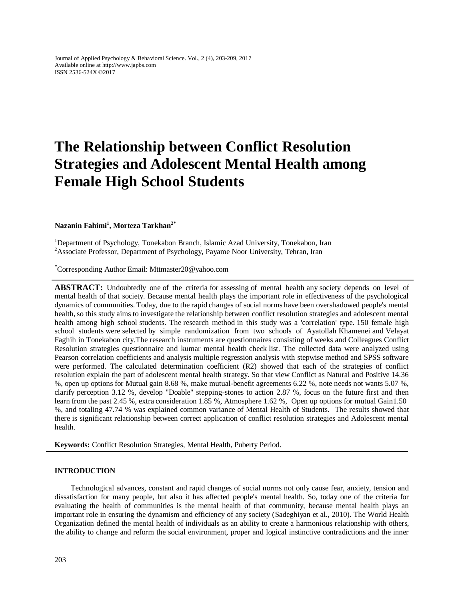Journal of Applied Psychology & Behavioral Science. Vol., 2 (4), 203-209, 2017 Available online at http://www.japbs.com ISSN 2536-524X ©2017

# **The Relationship between Conflict Resolution Strategies and Adolescent Mental Health among Female High School Students**

# **Nazanin Fahimi<sup>1</sup> , Morteza Tarkhan2\***

<sup>1</sup>Department of Psychology, Tonekabon Branch, Islamic Azad University, Tonekabon, Iran <sup>2</sup> Associate Professor, Department of Psychology, Payame Noor University, Tehran, Iran

Corresponding Author Email: Mttmaster20@yahoo.com \*

ABSTRACT: Undoubtedly one of the criteria for assessing of mental health any society depends on level of mental health of that society. Because mental health plays the important role in effectiveness of the psychological dynamics of communities. Today, due to the rapid changes of social norms have been overshadowed people's mental health, so this study aims to investigate the relationship between conflict resolution strategies and adolescent mental health among high school students. The research method in this study was a 'correlation' type. 150 female high school students were selected by simple randomization from two schools of Ayatollah Khamenei and Velayat Faghih in Tonekabon city.The research instruments are questionnaires consisting of weeks and Colleagues Conflict Resolution strategies questionnaire and kumar mental health check list. The collected data were analyzed using Pearson correlation coefficients and analysis multiple regression analysis with stepwise method and SPSS software were performed. The calculated determination coefficient (R2) showed that each of the strategies of conflict resolution explain the part of adolescent mental health strategy. So that view Conflict as Natural and Positive 14.36 %, open up options for Mutual gain 8.68 %, make mutual-benefit agreements 6.22 %, note needs not wants 5.07 %, clarify perception 3.12 %, develop "Doable" stepping-stones to action 2.87 %, focus on the future first and then learn from the past 2.45 %, extra consideration 1.85 %, Atmosphere 1.62 %, Open up options for mutual Gain1.50 %, and totaling 47.74 % was explained common variance of Mental Health of Students. The results showed that there is significant relationship between correct application of conflict resolution strategies and Adolescent mental health.

**Keywords:** Conflict Resolution Strategies, Mental Health, Puberty Period.

## **INTRODUCTION**

Technological advances, constant and rapid changes of social norms not only cause fear, anxiety, tension and dissatisfaction for many people, but also it has affected people's mental health. So, today one of the criteria for evaluating the health of communities is the mental health of that community, because mental health plays an important role in ensuring the dynamism and efficiency of any society (Sadeghiyan et al., 2010). The World Health Organization defined the mental health of individuals as an ability to create a harmonious relationship with others, the ability to change and reform the social environment, proper and logical instinctive contradictions and the inner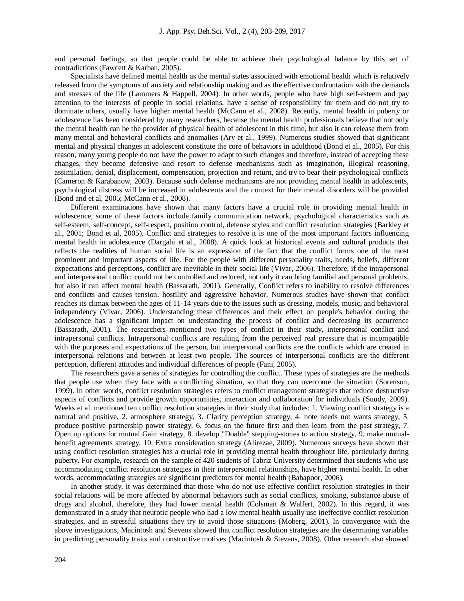and personal feelings, so that people could be able to achieve their psychological balance by this set of contradictions (Fawcett & Karban, 2005).

Specialists have defined mental health as the mental states associated with emotional health which is relatively released from the symptoms of anxiety and relationship making and as the effective confrontation with the demands and stresses of the life (Lammers & Happell, 2004). In other words, people who have high self-esteem and pay attention to the interests of people in social relations, have a sense of responsibility for them and do not try to dominate others, usually have higher mental health (McCann et al., 2008). Recently, mental health in puberty or adolescence has been considered by many researchers, because the mental health professionals believe that not only the mental health can be the provider of physical health of adolescent in this time, but also it can release them from many mental and behavioral conflicts and anomalies (Ary et al., 1999). Numerous studies showed that significant mental and physical changes in adolescent constitute the core of behaviors in adulthood (Bond et al., 2005). For this reason, many young people do not have the power to adapt to such changes and therefore, instead of accepting these changes, they become defensive and resort to defense mechanisms such as imagination, illogical reasoning, assimilation, denial, displacement, compensation, projection and return, and try to bear their psychological conflicts (Cameron & Karabanow, 2003). Because such defense mechanisms are not providing mental health in adolescents, psychological distress will be increased in adolescents and the context for their mental disorders will be provided (Bond and et al, 2005; McCann et al., 2008).

Different examinations have shown that many factors have a crucial role in providing mental health in adolescence, some of these factors include family communication network, psychological characteristics such as self-esteem, self-concept, self-respect, position control, defense styles and conflict resolution strategies (Barkley et al., 2001; Bond et al, 2005). Conflict and strategies to resolve it is one of the most important factors influencing mental health in adolescence (Dargahi et al., 2008). A quick look at historical events and cultural products that reflects the realities of human social life is an expression of the fact that the conflict forms one of the most prominent and important aspects of life. For the people with different personality traits, needs, beliefs, different expectations and perceptions, conflict are inevitable in their social life (Vivar, 2006). Therefore, if the intrapersonal and interpersonal conflict could not be controlled and reduced, not only it can bring familial and personal problems, but also it can affect mental health (Bassarath, 2001). Generally, Conflict refers to inability to resolve differences and conflicts and causes tension, hostility and aggressive behavior. Numerous studies have shown that conflict reaches its climax between the ages of 11-14 years due to the issues such as dressing, models, music, and behavioral independency (Vivar, 2006). Understanding these differences and their effect on people's behavior during the adolescence has a significant impact on understanding the process of conflict and decreasing its occurrence (Bassarath, 2001). The researchers mentioned two types of conflict in their study, interpersonal conflict and intrapersonal conflicts. Intrapersonal conflicts are resulting from the perceived real pressure that is incompatible with the purposes and expectations of the person, but interpersonal conflicts are the conflicts which are created in interpersonal relations and between at least two people. The sources of interpersonal conflicts are the different perception, different attitudes and individual differences of people (Fani, 2005).

The researchers gave a series of strategies for controlling the conflict. These types of strategies are the methods that people use when they face with a conflicting situation, so that they can overcome the situation (Sorenson, 1999). In other words, conflict resolution strategies refers to conflict management strategies that reduce destructive aspects of conflicts and provide growth opportunities, interaction and collaboration for individuals (Suudy, 2009). Weeks et al. mentioned ten conflict resolution strategies in their study that includes: 1. Viewing conflict strategy is a natural and positive, 2. atmosphere strategy, 3. Clarify perception strategy, 4. note needs not wants strategy, 5. produce positive partnership power strategy, 6. focus on the future first and then learn from the past strategy, 7. Open up options for mutual Gain strategy, 8. develop "Doable" stepping-stones to action strategy, 9. make mutualbenefit agreements strategy, 10. Extra consideration strategy (Alirezae, 2009). Numerous surveys have shown that using conflict resolution strategies has a crucial role in providing mental health throughout life, particularly during puberty. For example, research on the sample of 420 students of Tabriz University determined that students who use accommodating conflict resolution strategies in their interpersonal relationships, have higher mental health. In other words, accommodating strategies are significant predictors for mental health (Babapoor, 2006).

In another study, it was determined that those who do not use effective conflict resolution strategies in their social relations will be more affected by abnormal behaviors such as social conflicts, smoking, substance abuse of drugs and alcohol, therefore, they had lower mental health (Colsman & Walfert, 2002). In this regard, it was demonstrated in a study that neurotic people who had a low mental health usually use ineffective conflict resolution strategies, and in stressful situations they try to avoid those situations (Moberg, 2001). In convergence with the above investigations, Macintosh and Stevens showed that conflict resolution strategies are the determining variables in predicting personality traits and constructive motives (Macintosh & Stevens, 2008). Other research also showed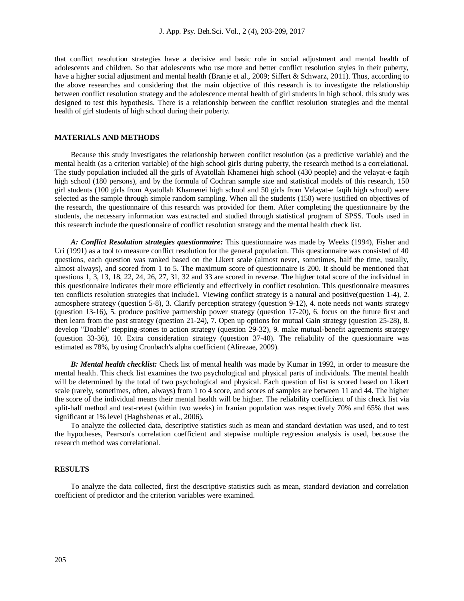that conflict resolution strategies have a decisive and basic role in social adjustment and mental health of adolescents and children. So that adolescents who use more and better conflict resolution styles in their puberty, have a higher social adjustment and mental health (Branje et al., 2009; Siffert & Schwarz, 2011). Thus, according to the above researches and considering that the main objective of this research is to investigate the relationship between conflict resolution strategy and the adolescence mental health of girl students in high school, this study was designed to test this hypothesis. There is a relationship between the conflict resolution strategies and the mental health of girl students of high school during their puberty.

## **MATERIALS AND METHODS**

Because this study investigates the relationship between conflict resolution (as a predictive variable) and the mental health (as a criterion variable) of the high school girls during puberty, the research method is a correlational. The study population included all the girls of Ayatollah Khamenei high school (430 people) and the velayat-e faqih high school (180 persons), and by the formula of Cochran sample size and statistical models of this research, 150 girl students (100 girls from Ayatollah Khamenei high school and 50 girls from Velayat-e faqih high school) were selected as the sample through simple random sampling. When all the students (150) were justified on objectives of the research, the questionnaire of this research was provided for them. After completing the questionnaire by the students, the necessary information was extracted and studied through statistical program of SPSS. Tools used in this research include the questionnaire of conflict resolution strategy and the mental health check list.

*A: Conflict Resolution strategies questionnaire:* This questionnaire was made by Weeks (1994), Fisher and Uri (1991) as a tool to measure conflict resolution for the general population. This questionnaire was consisted of 40 questions, each question was ranked based on the Likert scale (almost never, sometimes, half the time, usually, almost always), and scored from 1 to 5. The maximum score of questionnaire is 200. It should be mentioned that questions 1, 3, 13, 18, 22, 24, 26, 27, 31, 32 and 33 are scored in reverse. The higher total score of the individual in this questionnaire indicates their more efficiently and effectively in conflict resolution. This questionnaire measures ten conflicts resolution strategies that include1. Viewing conflict strategy is a natural and positive(question 1-4), 2. atmosphere strategy (question 5-8), 3. Clarify perception strategy (question 9-12), 4. note needs not wants strategy (question 13-16), 5. produce positive partnership power strategy (question 17-20), 6. focus on the future first and then learn from the past strategy (question 21-24), 7. Open up options for mutual Gain strategy (question 25-28), 8. develop "Doable" stepping-stones to action strategy (question 29-32), 9. make mutual-benefit agreements strategy (question 33-36), 10. Extra consideration strategy (question 37-40). The reliability of the questionnaire was estimated as 78%, by using Cronbach's alpha coefficient (Alirezae, 2009).

*B: Mental health checklist:* Check list of mental health was made by Kumar in 1992, in order to measure the mental health. This check list examines the two psychological and physical parts of individuals. The mental health will be determined by the total of two psychological and physical. Each question of list is scored based on Likert scale (rarely, sometimes, often, always) from 1 to 4 score, and scores of samples are between 11 and 44. The higher the score of the individual means their mental health will be higher. The reliability coefficient of this check list via split-half method and test-retest (within two weeks) in Iranian population was respectively 70% and 65% that was significant at 1% level (Haghshenas et al., 2006).

To analyze the collected data, descriptive statistics such as mean and standard deviation was used, and to test the hypotheses, Pearson's correlation coefficient and stepwise multiple regression analysis is used, because the research method was correlational.

# **RESULTS**

To analyze the data collected, first the descriptive statistics such as mean, standard deviation and correlation coefficient of predictor and the criterion variables were examined.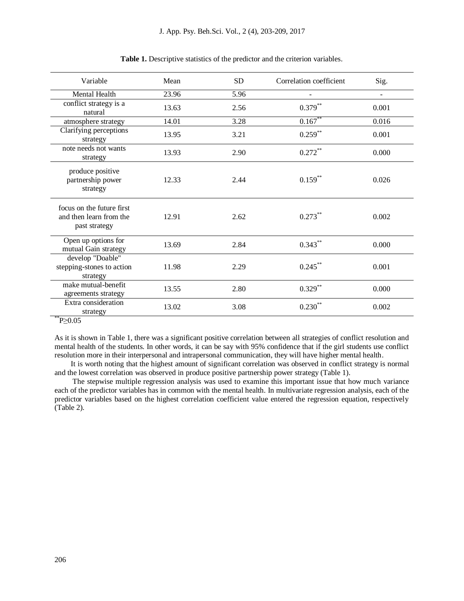| Variable                                                              | Mean  | <b>SD</b> | Correlation coefficient | Sig.           |
|-----------------------------------------------------------------------|-------|-----------|-------------------------|----------------|
| Mental Health                                                         | 23.96 | 5.96      |                         | $\blacksquare$ |
| conflict strategy is a<br>natural                                     | 13.63 | 2.56      | $0.379***$              | 0.001          |
| atmosphere strategy                                                   | 14.01 | 3.28      | $0.167**$               | 0.016          |
| Clarifying perceptions<br>strategy                                    | 13.95 | 3.21      | $0.259***$              | 0.001          |
| note needs not wants<br>strategy                                      | 13.93 | 2.90      | $0.272***$              | 0.000          |
| produce positive<br>partnership power<br>strategy                     | 12.33 | 2.44      | $0.159***$              | 0.026          |
| focus on the future first<br>and then learn from the<br>past strategy | 12.91 | 2.62      | $0.273***$              | 0.002          |
| Open up options for<br>mutual Gain strategy                           | 13.69 | 2.84      | $0.343***$              | 0.000          |
| develop "Doable"<br>stepping-stones to action<br>strategy             | 11.98 | 2.29      | $0.245***$              | 0.001          |
| make mutual-benefit<br>agreements strategy                            | 13.55 | 2.80      | $0.329**$               | 0.000          |
| Extra consideration<br>strategy<br>$*$ $\sim$ 0.0 $\sim$              | 13.02 | 3.08      | $0.230**$               | 0.002          |

**Table 1.** Descriptive statistics of the predictor and the criterion variables.

 $^{\degree}P \geq 0.05$ 

As it is shown in Table 1, there was a significant positive correlation between all strategies of conflict resolution and mental health of the students. In other words, it can be say with 95% confidence that if the girl students use conflict resolution more in their interpersonal and intrapersonal communication, they will have higher mental health.

It is worth noting that the highest amount of significant correlation was observed in conflict strategy is normal and the lowest correlation was observed in produce positive partnership power strategy (Table 1).

The stepwise multiple regression analysis was used to examine this important issue that how much variance each of the predictor variables has in common with the mental health. In multivariate regression analysis, each of the predictor variables based on the highest correlation coefficient value entered the regression equation, respectively (Table 2).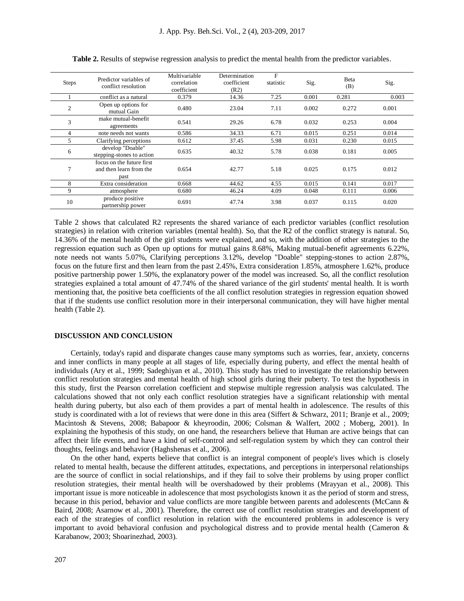| <b>Steps</b>   | Predictor variables of<br>conflict resolution                | Multivariable<br>correlation<br>coefficient | Determination<br>coefficient<br>(R2) | $\mathbf{F}$<br>statistic | Sig.  | Beta<br>(B) | Sig.  |
|----------------|--------------------------------------------------------------|---------------------------------------------|--------------------------------------|---------------------------|-------|-------------|-------|
|                | conflict as a natural                                        | 0.379                                       | 14.36                                | 7.25                      | 0.001 | 0.281       | 0.003 |
| $\overline{2}$ | Open up options for<br>mutual Gain                           | 0.480                                       | 23.04                                | 7.11                      | 0.002 | 0.272       | 0.001 |
| 3              | make mutual-benefit<br>agreements                            | 0.541                                       | 29.26                                | 6.78                      | 0.032 | 0.253       | 0.004 |
|                | note needs not wants                                         | 0.586                                       | 34.33                                | 6.71                      | 0.015 | 0.251       | 0.014 |
| 5              | Clarifying perceptions                                       | 0.612                                       | 37.45                                | 5.98                      | 0.031 | 0.230       | 0.015 |
| 6              | develop "Doable"<br>stepping-stones to action                | 0.635                                       | 40.32                                | 5.78                      | 0.038 | 0.181       | 0.005 |
| 7              | focus on the future first<br>and then learn from the<br>past | 0.654                                       | 42.77                                | 5.18                      | 0.025 | 0.175       | 0.012 |
| 8              | Extra consideration                                          | 0.668                                       | 44.62                                | 4.55                      | 0.015 | 0.141       | 0.017 |
| 9              | atmosphere                                                   | 0.680                                       | 46.24                                | 4.09                      | 0.048 | 0.111       | 0.006 |
| 10             | produce positive<br>partnership power                        | 0.691                                       | 47.74                                | 3.98                      | 0.037 | 0.115       | 0.020 |

**Table 2.** Results of stepwise regression analysis to predict the mental health from the predictor variables.

Table 2 shows that calculated R2 represents the shared variance of each predictor variables (conflict resolution strategies) in relation with criterion variables (mental health). So, that the R2 of the conflict strategy is natural. So, 14.36% of the mental health of the girl students were explained, and so, with the addition of other strategies to the regression equation such as Open up options for mutual gains 8.68%, Making mutual-benefit agreements 6.22%, note needs not wants 5.07%, Clarifying perceptions 3.12%, develop "Doable" stepping-stones to action 2.87%, focus on the future first and then learn from the past 2.45%, Extra consideration 1.85%, atmosphere 1.62%, produce positive partnership power 1.50%, the explanatory power of the model was increased. So, all the conflict resolution strategies explained a total amount of 47.74% of the shared variance of the girl students' mental health. It is worth mentioning that, the positive beta coefficients of the all conflict resolution strategies in regression equation showed that if the students use conflict resolution more in their interpersonal communication, they will have higher mental health (Table 2).

#### **DISCUSSION AND CONCLUSION**

Certainly, today's rapid and disparate changes cause many symptoms such as worries, fear, anxiety, concerns and inner conflicts in many people at all stages of life, especially during puberty, and effect the mental health of individuals (Ary et al., 1999; Sadeghiyan et al., 2010). This study has tried to investigate the relationship between conflict resolution strategies and mental health of high school girls during their puberty. To test the hypothesis in this study, first the Pearson correlation coefficient and stepwise multiple regression analysis was calculated. The calculations showed that not only each conflict resolution strategies have a significant relationship with mental health during puberty, but also each of them provides a part of mental health in adolescence. The results of this study is coordinated with a lot of reviews that were done in this area (Siffert & Schwarz, 2011; Branje et al., 2009; Macintosh & Stevens, 2008; Babapoor & kheyroodin, 2006; Colsman & Walfert, 2002 ; Moberg, 2001). In explaining the hypothesis of this study, on one hand, the researchers believe that Human are active beings that can affect their life events, and have a kind of self-control and self-regulation system by which they can control their thoughts, feelings and behavior (Haghshenas et al., 2006).

On the other hand, experts believe that conflict is an integral component of people's lives which is closely related to mental health, because the different attitudes, expectations, and perceptions in interpersonal relationships are the source of conflict in social relationships, and if they fail to solve their problems by using proper conflict resolution strategies, their mental health will be overshadowed by their problems (Mrayyan et al., 2008). This important issue is more noticeable in adolescence that most psychologists known it as the period of storm and stress, because in this period, behavior and value conflicts are more tangible between parents and adolescents (McCann & Baird, 2008; Asarnow et al., 2001). Therefore, the correct use of conflict resolution strategies and development of each of the strategies of conflict resolution in relation with the encountered problems in adolescence is very important to avoid behavioral confusion and psychological distress and to provide mental health (Cameron  $\&$ Karabanow, 2003; Shoarinezhad, 2003).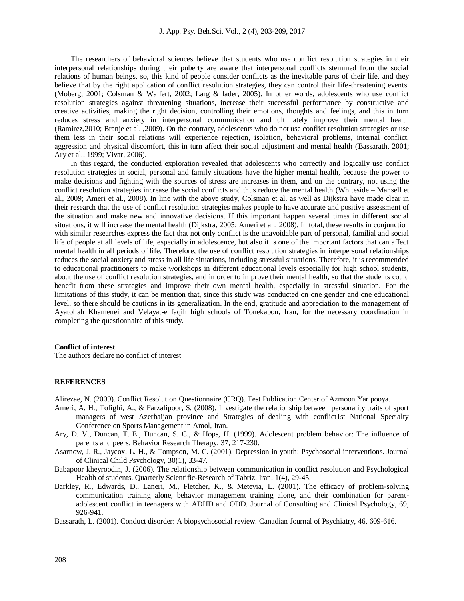The researchers of behavioral sciences believe that students who use conflict resolution strategies in their interpersonal relationships during their puberty are aware that interpersonal conflicts stemmed from the social relations of human beings, so, this kind of people consider conflicts as the inevitable parts of their life, and they believe that by the right application of conflict resolution strategies, they can control their life-threatening events. (Moberg, 2001; Colsman & Walfert, 2002; Larg & lader, 2005). In other words, adolescents who use conflict resolution strategies against threatening situations, increase their successful performance by constructive and creative activities, making the right decision, controlling their emotions, thoughts and feelings, and this in turn reduces stress and anxiety in interpersonal communication and ultimately improve their mental health (Ramirez,2010; Branje et al. ,2009). On the contrary, adolescents who do not use conflict resolution strategies or use them less in their social relations will experience rejection, isolation, behavioral problems, internal conflict, aggression and physical discomfort, this in turn affect their social adjustment and mental health (Bassarath, 2001; Ary et al., 1999; Vivar, 2006).

In this regard, the conducted exploration revealed that adolescents who correctly and logically use conflict resolution strategies in social, personal and family situations have the higher mental health, because the power to make decisions and fighting with the sources of stress are increases in them, and on the contrary, not using the conflict resolution strategies increase the social conflicts and thus reduce the mental health (Whiteside – Mansell et al., 2009; Ameri et al., 2008). In line with the above study, Colsman et al. as well as Dijkstra have made clear in their research that the use of conflict resolution strategies makes people to have accurate and positive assessment of the situation and make new and innovative decisions. If this important happen several times in different social situations, it will increase the mental health (Dijkstra, 2005; Ameri et al., 2008). In total, these results in conjunction with similar researches express the fact that not only conflict is the unavoidable part of personal, familial and social life of people at all levels of life, especially in adolescence, but also it is one of the important factors that can affect mental health in all periods of life. Therefore, the use of conflict resolution strategies in interpersonal relationships reduces the social anxiety and stress in all life situations, including stressful situations. Therefore, it is recommended to educational practitioners to make workshops in different educational levels especially for high school students, about the use of conflict resolution strategies, and in order to improve their mental health, so that the students could benefit from these strategies and improve their own mental health, especially in stressful situation. For the limitations of this study, it can be mention that, since this study was conducted on one gender and one educational level, so there should be cautions in its generalization. In the end, gratitude and appreciation to the management of Ayatollah Khamenei and Velayat-e faqih high schools of Tonekabon, Iran, for the necessary coordination in completing the questionnaire of this study.

## **Conflict of interest**

The authors declare no conflict of interest

#### **REFERENCES**

Alirezae, N. (2009). Conflict Resolution Questionnaire (CRQ). Test Publication Center of Azmoon Yar pooya.

- Ameri, A. H., Tofighi, A., & Farzalipoor, S. (2008). Investigate the relationship between personality traits of sport managers of west Azerbaijan province and Strategies of dealing with conflict1st National Specialty Conference on Sports Management in Amol, Iran.
- Ary, D. V., Duncan, T. E., Duncan, S. C., & Hops, H. (1999). Adolescent problem behavior: The influence of parents and peers. Behavior Research Therapy, 37, 217-230.
- Asarnow, J. R., Jaycox, L. H., & Tompson, M. C. (2001). Depression in youth: Psychosocial interventions. Journal of Clinical Child Psychology, 30(1), 33-47.
- Babapoor kheyroodin, J. (2006). The relationship between communication in conflict resolution and Psychological Health of students. Quarterly Scientific-Research of Tabriz, Iran, 1(4), 29-45.
- Barkley, R., Edwards, D., Laneri, M., Fletcher, K., & Metevia, L. (2001). The efficacy of problem-solving communication training alone, behavior management training alone, and their combination for parentadolescent conflict in teenagers with ADHD and ODD. Journal of Consulting and Clinical Psychology, 69, 926-941.

Bassarath, L. (2001). Conduct disorder: A biopsychosocial review. Canadian Journal of Psychiatry, 46, 609-616.